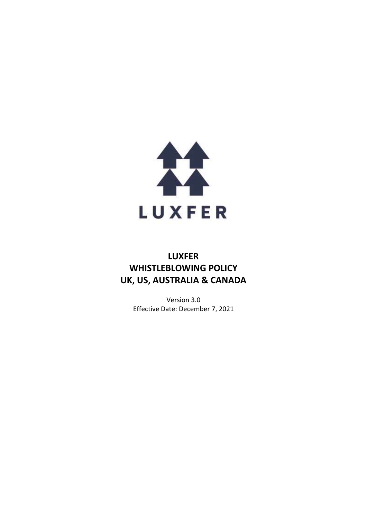

# **LUXFER WHISTLEBLOWING POLICY UK, US, AUSTRALIA & CANADA**

Version 3.0 Effective Date: December 7, 2021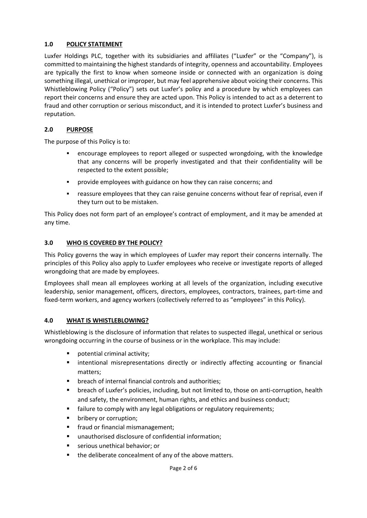### **1.0 POLICY STATEMENT**

Luxfer Holdings PLC, together with its subsidiaries and affiliates ("Luxfer" or the "Company"), is committed to maintaining the highest standards of integrity, openness and accountability. Employees are typically the first to know when someone inside or connected with an organization is doing something illegal, unethical or improper, but may feel apprehensive about voicing their concerns. This Whistleblowing Policy ("Policy") sets out Luxfer's policy and a procedure by which employees can report their concerns and ensure they are acted upon. This Policy is intended to act as a deterrent to fraud and other corruption or serious misconduct, and it is intended to protect Luxfer's business and reputation.

### **2.0 PURPOSE**

The purpose of this Policy is to:

- encourage employees to report alleged or suspected wrongdoing, with the knowledge that any concerns will be properly investigated and that their confidentiality will be respected to the extent possible;
- provide employees with guidance on how they can raise concerns; and
- **•** reassure employees that they can raise genuine concerns without fear of reprisal, even if they turn out to be mistaken.

This Policy does not form part of an employee's contract of employment, and it may be amended at any time.

### **3.0 WHO IS COVERED BY THE POLICY?**

This Policy governs the way in which employees of Luxfer may report their concerns internally. The principles of this Policy also apply to Luxfer employees who receive or investigate reports of alleged wrongdoing that are made by employees.

Employees shall mean all employees working at all levels of the organization, including executive leadership, senior management, officers, directors, employees, contractors, trainees, part-time and fixed-term workers, and agency workers (collectively referred to as "employees" in this Policy).

### **4.0 WHAT IS WHISTLEBLOWING?**

Whistleblowing is the disclosure of information that relates to suspected illegal, unethical or serious wrongdoing occurring in the course of business or in the workplace. This may include:

- potential criminal activity;
- **■** intentional misrepresentations directly or indirectly affecting accounting or financial matters;
- breach of internal financial controls and authorities;
- breach of Luxfer's policies, including, but not limited to, those on anti-corruption, health and safety, the environment, human rights, and ethics and business conduct;
- failure to comply with any legal obligations or regulatory requirements;
- bribery or corruption;
- fraud or financial mismanagement;
- unauthorised disclosure of confidential information;
- serious unethical behavior; or
- the deliberate concealment of any of the above matters.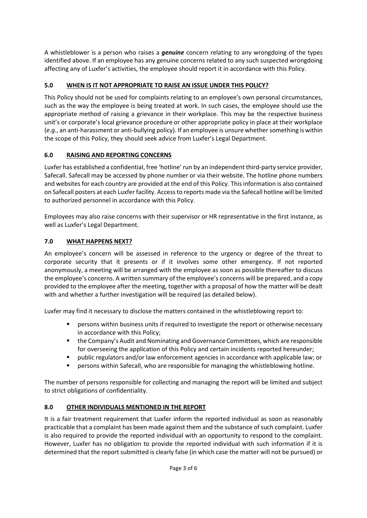A whistleblower is a person who raises a *genuine* concern relating to any wrongdoing of the types identified above. If an employee has any genuine concerns related to any such suspected wrongdoing affecting any of Luxfer's activities, the employee should report it in accordance with this Policy.

# **5.0 WHEN IS IT NOT APPROPRIATE TO RAISE AN ISSUE UNDER THIS POLICY?**

This Policy should not be used for complaints relating to an employee's own personal circumstances, such as the way the employee is being treated at work. In such cases, the employee should use the appropriate method of raising a grievance in their workplace. This may be the respective business unit's or corporate's local grievance procedure or other appropriate policy in place at their workplace (*e.g.*, an anti-harassment or anti-bullying policy). If an employee is unsure whether something is within the scope of this Policy, they should seek advice from Luxfer's Legal Department.

## **6.0 RAISING AND REPORTING CONCERNS**

Luxfer has established a confidential, free 'hotline' run by an independent third-party service provider, Safecall. Safecall may be accessed by phone number or via their website. The hotline phone numbers and websites for each country are provided at the end of this Policy. This information is also contained on Safecall posters at each Luxfer facility. Access to reports made via the Safecall hotline will be limited to authorized personnel in accordance with this Policy.

Employees may also raise concerns with their supervisor or HR representative in the first instance, as well as Luxfer's Legal Department.

## **7.0 WHAT HAPPENS NEXT?**

An employee's concern will be assessed in reference to the urgency or degree of the threat to corporate security that it presents or if it involves some other emergency. If not reported anonymously, a meeting will be arranged with the employee as soon as possible thereafter to discuss the employee's concerns. A written summary of the employee's concerns will be prepared, and a copy provided to the employee after the meeting, together with a proposal of how the matter will be dealt with and whether a further investigation will be required (as detailed below).

Luxfer may find it necessary to disclose the matters contained in the whistleblowing report to:

- **EXECT** persons within business units if required to investigate the report or otherwise necessary in accordance with this Policy;
- the Company's Audit and Nominating and Governance Committees, which are responsible for overseeing the application of this Policy and certain incidents reported hereunder;
- public regulators and/or law enforcement agencies in accordance with applicable law; or
- persons within Safecall, who are responsible for managing the whistleblowing hotline.

The number of persons responsible for collecting and managing the report will be limited and subject to strict obligations of confidentiality.

# **8.0 OTHER INDIVIDUALS MENTIONED IN THE REPORT**

It is a fair treatment requirement that Luxfer inform the reported individual as soon as reasonably practicable that a complaint has been made against them and the substance of such complaint. Luxfer is also required to provide the reported individual with an opportunity to respond to the complaint. However, Luxfer has no obligation to provide the reported individual with such information if it is determined that the report submitted is clearly false (in which case the matter will not be pursued) or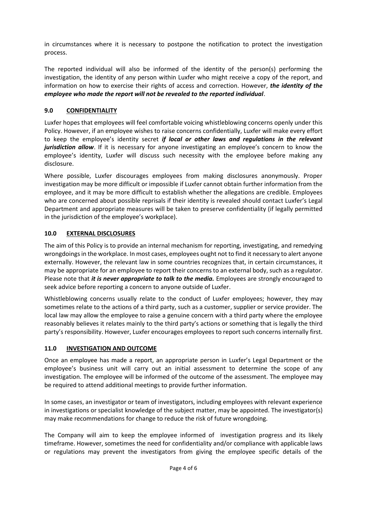in circumstances where it is necessary to postpone the notification to protect the investigation process.

The reported individual will also be informed of the identity of the person(s) performing the investigation, the identity of any person within Luxfer who might receive a copy of the report, and information on how to exercise their rights of access and correction. However, *the identity of the employee who made the report will not be revealed to the reported individual*.

### **9.0 CONFIDENTIALITY**

Luxfer hopes that employees will feel comfortable voicing whistleblowing concerns openly under this Policy. However, if an employee wishes to raise concerns confidentially, Luxfer will make every effort to keep the employee's identity secret *if local or other laws and regulations in the relevant jurisdiction allow*. If it is necessary for anyone investigating an employee's concern to know the employee's identity, Luxfer will discuss such necessity with the employee before making any disclosure.

Where possible, Luxfer discourages employees from making disclosures anonymously. Proper investigation may be more difficult or impossible if Luxfer cannot obtain further information from the employee, and it may be more difficult to establish whether the allegations are credible. Employees who are concerned about possible reprisals if their identity is revealed should contact Luxfer's Legal Department and appropriate measures will be taken to preserve confidentiality (if legally permitted in the jurisdiction of the employee's workplace).

### **10.0 EXTERNAL DISCLOSURES**

The aim of this Policy is to provide an internal mechanism for reporting, investigating, and remedying wrongdoings in the workplace. In most cases, employees ought not to find it necessary to alert anyone externally. However, the relevant law in some countries recognizes that, in certain circumstances, it may be appropriate for an employee to report their concerns to an external body, such as a regulator. Please note that *it is never appropriate to talk to the media.* Employees are strongly encouraged to seek advice before reporting a concern to anyone outside of Luxfer.

Whistleblowing concerns usually relate to the conduct of Luxfer employees; however, they may sometimes relate to the actions of a third party, such as a customer, supplier or service provider. The local law may allow the employee to raise a genuine concern with a third party where the employee reasonably believes it relates mainly to the third party's actions or something that is legally the third party's responsibility. However, Luxfer encourages employees to report such concerns internally first.

#### **11.0 INVESTIGATION AND OUTCOME**

Once an employee has made a report, an appropriate person in Luxfer's Legal Department or the employee's business unit will carry out an initial assessment to determine the scope of any investigation. The employee will be informed of the outcome of the assessment. The employee may be required to attend additional meetings to provide further information.

In some cases, an investigator or team of investigators, including employees with relevant experience in investigations or specialist knowledge of the subject matter, may be appointed. The investigator(s) may make recommendations for change to reduce the risk of future wrongdoing.

The Company will aim to keep the employee informed of investigation progress and its likely timeframe. However, sometimes the need for confidentiality and/or compliance with applicable laws or regulations may prevent the investigators from giving the employee specific details of the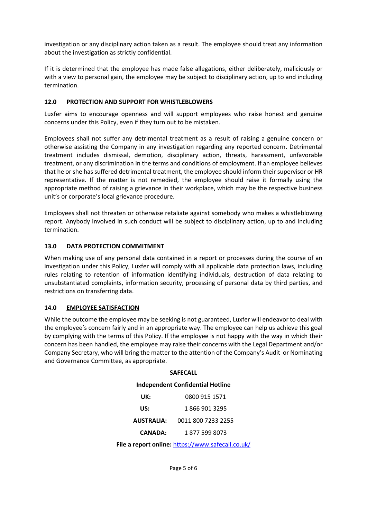investigation or any disciplinary action taken as a result. The employee should treat any information about the investigation as strictly confidential.

If it is determined that the employee has made false allegations, either deliberately, maliciously or with a view to personal gain, the employee may be subject to disciplinary action, up to and including termination.

#### **12.0 PROTECTION AND SUPPORT FOR WHISTLEBLOWERS**

Luxfer aims to encourage openness and will support employees who raise honest and genuine concerns under this Policy, even if they turn out to be mistaken.

Employees shall not suffer any detrimental treatment as a result of raising a genuine concern or otherwise assisting the Company in any investigation regarding any reported concern. Detrimental treatment includes dismissal, demotion, disciplinary action, threats, harassment, unfavorable treatment, or any discrimination in the terms and conditions of employment. If an employee believes that he or she has suffered detrimental treatment, the employee should inform their supervisor or HR representative. If the matter is not remedied, the employee should raise it formally using the appropriate method of raising a grievance in their workplace, which may be the respective business unit's or corporate's local grievance procedure.

Employees shall not threaten or otherwise retaliate against somebody who makes a whistleblowing report. Anybody involved in such conduct will be subject to disciplinary action, up to and including termination.

### **13.0 DATA PROTECTION COMMITMENT**

When making use of any personal data contained in a report or processes during the course of an investigation under this Policy, Luxfer will comply with all applicable data protection laws, including rules relating to retention of information identifying individuals, destruction of data relating to unsubstantiated complaints, information security, processing of personal data by third parties, and restrictions on transferring data.

#### **14.0 EMPLOYEE SATISFACTION**

While the outcome the employee may be seeking is not guaranteed, Luxfer will endeavor to deal with the employee's concern fairly and in an appropriate way. The employee can help us achieve this goal by complying with the terms of this Policy. If the employee is not happy with the way in which their concern has been handled, the employee may raise their concerns with the Legal Department and/or Company Secretary, who will bring the matter to the attention of the Company's Audit or Nominating and Governance Committee, as appropriate.

**SAFECALL**

| <b>Independent Confidential Hotline</b> |                    |
|-----------------------------------------|--------------------|
| UK:                                     | 0800 915 1571      |
| US:                                     | 1 866 901 3295     |
| <b>AUSTRALIA:</b>                       | 0011 800 7233 2255 |
| <b>CANADA:</b>                          | 1 877 599 8073     |

File a report online: <https://www.safecall.co.uk/>